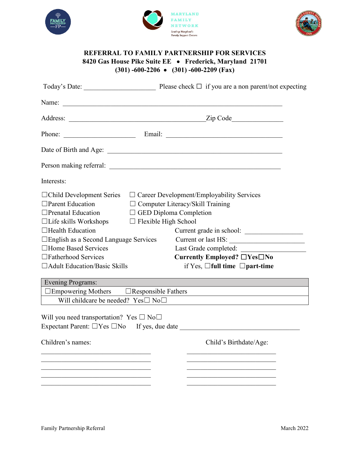





## **REFERRAL TO FAMILY PARTNERSHIP FOR SERVICES 8420 Gas House Pike Suite EE** • **Frederick, Maryland 21701 (301) -600-2206** • **(301) -600-2209 (Fax)**

|                                                            | Phone: Email: Email:                                    |
|------------------------------------------------------------|---------------------------------------------------------|
|                                                            |                                                         |
|                                                            |                                                         |
| Interests:                                                 |                                                         |
| $\Box$ Child Development Series                            | $\Box$ Career Development/Employability Services        |
| $\Box$ Parent Education                                    | $\Box$ Computer Literacy/Skill Training                 |
| $\Box$ Prenatal Education                                  | $\Box$ GED Diploma Completion                           |
| $\Box$ Life skills Workshops                               | $\Box$ Flexible High School                             |
| $\Box$ Health Education                                    | Current grade in school:                                |
| $\Box$ English as a Second Language Services               | Current or last HS:                                     |
| □Home Based Services                                       | Last Grade completed:                                   |
| □Fatherhood Services                                       | Currently Employed? $\Box$ Yes $\Box$ No                |
| $\Box$ Adult Education/Basic Skills                        | if Yes, $\Box$ full time $\Box$ part-time               |
| <b>Evening Programs:</b>                                   |                                                         |
| $\square$ Empowering Mothers $\square$ Responsible Fathers |                                                         |
| Will childcare be needed? $Yes \Box No \Box$               |                                                         |
| Will you need transportation? Yes $\square$ No $\square$   | Expectant Parent: $\Box$ Yes $\Box$ No If yes, due date |
| Children's names:                                          | Child's Birthdate/Age:                                  |
|                                                            |                                                         |
|                                                            |                                                         |
|                                                            |                                                         |
|                                                            |                                                         |
|                                                            |                                                         |